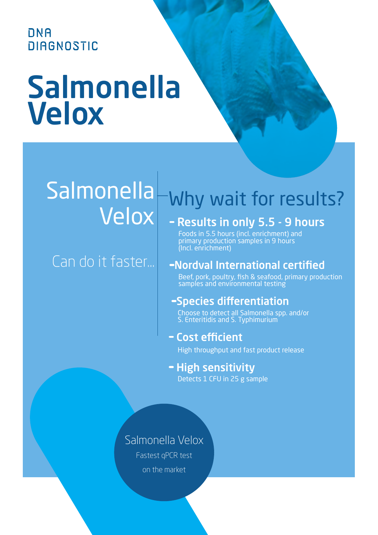**DNA DIAGNOSTIC** 

# Salmonella Velox

# Salmonella Velox

### Can do it faster...

## Why wait for results?

### - Results in only 5.5 - 9 hours

Foods in 5.5 hours (incl. enrichment) and primary production samples in 9 hours (Incl. enrichment)

#### Nordval International certified

Beef, pork, poultry, fish & seafood, primary production samples and environmental testing

### Species differentiation

Choose to detect all Salmonella spp. and/or S. Enteritidis and S. Typhimurium

#### Cost efficient

High throughput and fast product release

#### - High sensitivity

Detects 1 CFU in 25 g sample

#### Salmonella Velox

Fastest qPCR test on the market